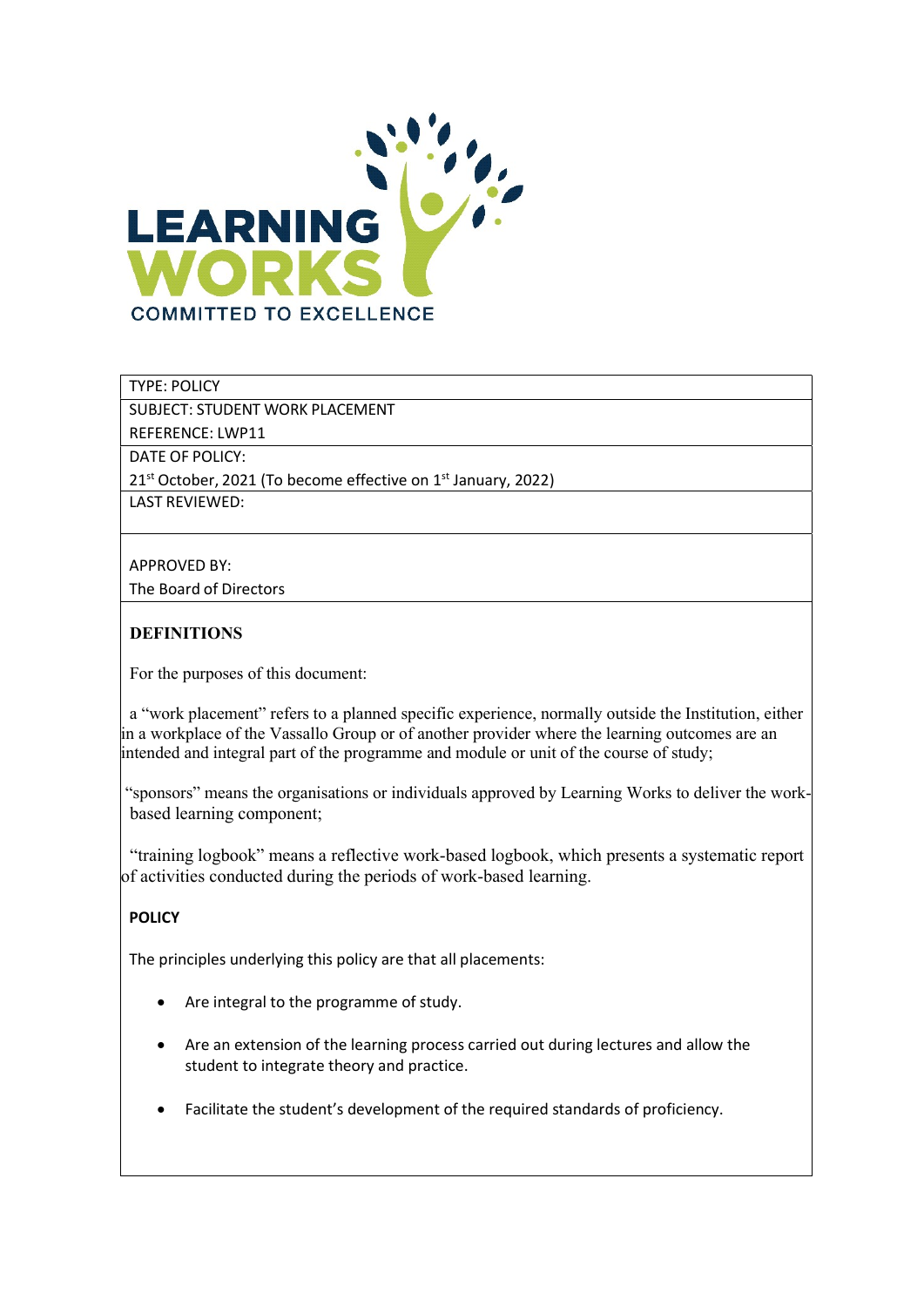

# TYPE: POLICY

SUBJECT: STUDENT WORK PLACEMENT

REFERENCE: LWP11

DATE OF POLICY:

21<sup>st</sup> October, 2021 (To become effective on 1<sup>st</sup> January, 2022)

LAST REVIEWED:

#### APPROVED BY:

The Board of Directors

# **DEFINITIONS**

For the purposes of this document:

 a "work placement" refers to a planned specific experience, normally outside the Institution, either in a workplace of the Vassallo Group or of another provider where the learning outcomes are an intended and integral part of the programme and module or unit of the course of study;

 "sponsors" means the organisations or individuals approved by Learning Works to deliver the work based learning component;

 "training logbook" means a reflective work-based logbook, which presents a systematic report of activities conducted during the periods of work-based learning.

# POLICY

The principles underlying this policy are that all placements:

- Are integral to the programme of study.
- Are an extension of the learning process carried out during lectures and allow the student to integrate theory and practice.
- Facilitate the student's development of the required standards of proficiency.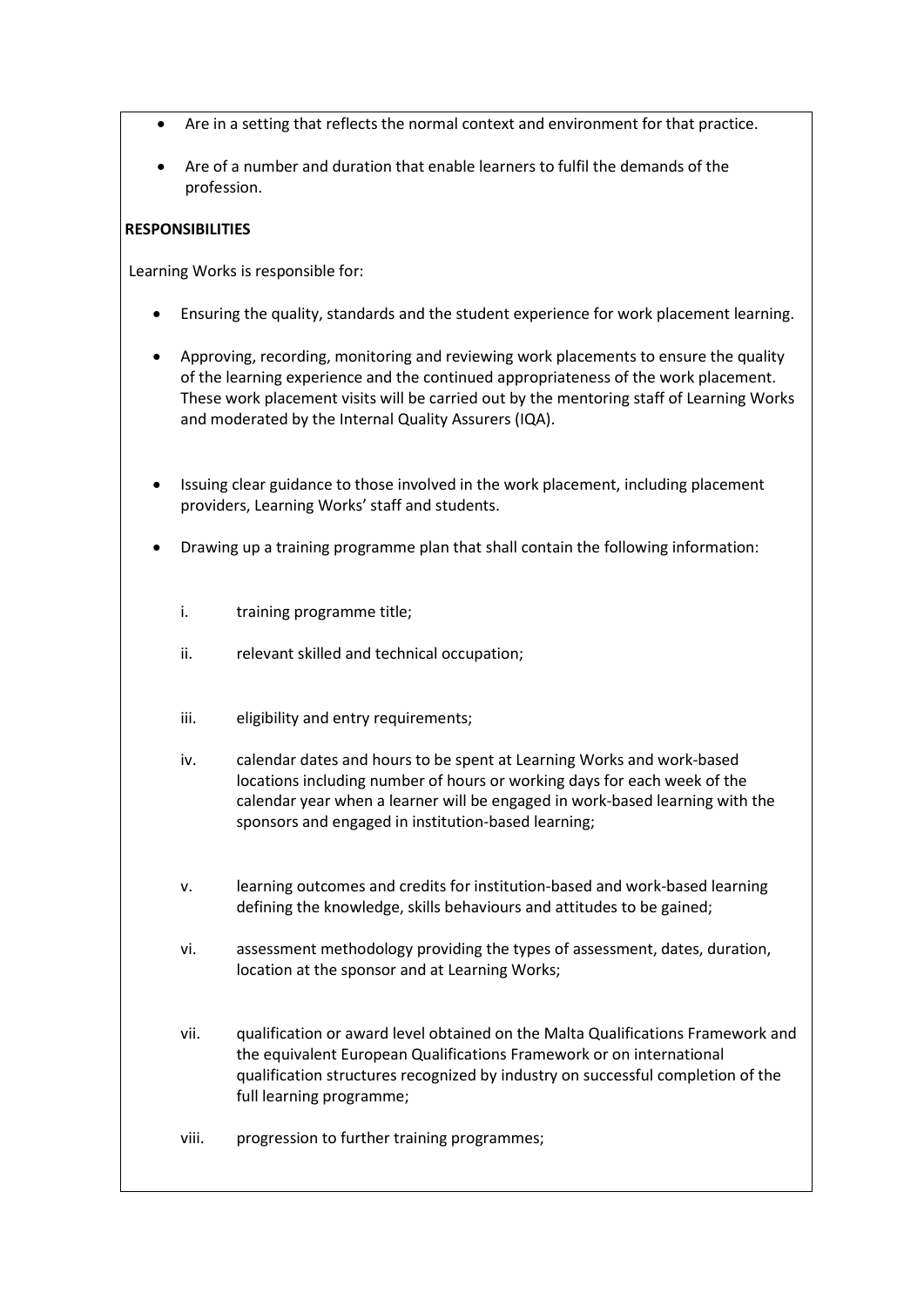- Are in a setting that reflects the normal context and environment for that practice.
- Are of a number and duration that enable learners to fulfil the demands of the profession.

### **RESPONSIBILITIES**

Learning Works is responsible for:

- Ensuring the quality, standards and the student experience for work placement learning.
- Approving, recording, monitoring and reviewing work placements to ensure the quality of the learning experience and the continued appropriateness of the work placement. These work placement visits will be carried out by the mentoring staff of Learning Works and moderated by the Internal Quality Assurers (IQA).
- Issuing clear guidance to those involved in the work placement, including placement providers, Learning Works' staff and students.
- Drawing up a training programme plan that shall contain the following information:
	- i. training programme title;
	- ii. relevant skilled and technical occupation;
	- iii. eligibility and entry requirements;
	- iv. calendar dates and hours to be spent at Learning Works and work-based locations including number of hours or working days for each week of the calendar year when a learner will be engaged in work-based learning with the sponsors and engaged in institution-based learning;
	- v. learning outcomes and credits for institution-based and work-based learning defining the knowledge, skills behaviours and attitudes to be gained;
	- vi. assessment methodology providing the types of assessment, dates, duration, location at the sponsor and at Learning Works;
	- vii. qualification or award level obtained on the Malta Qualifications Framework and the equivalent European Qualifications Framework or on international qualification structures recognized by industry on successful completion of the full learning programme;
	- viii. progression to further training programmes;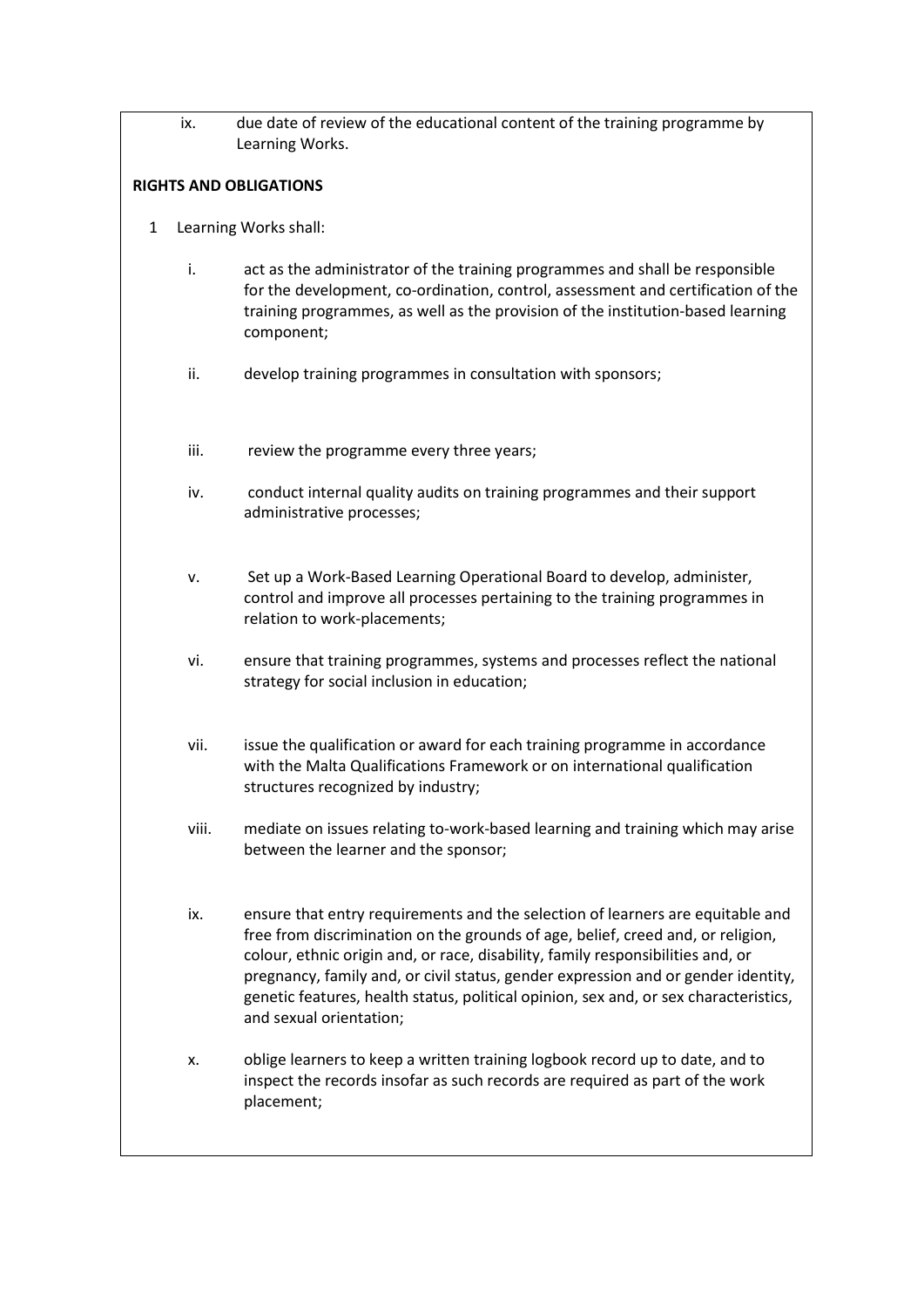ix. due date of review of the educational content of the training programme by Learning Works.

# RIGHTS AND OBLIGATIONS

- 1 Learning Works shall:
	- i. act as the administrator of the training programmes and shall be responsible for the development, co-ordination, control, assessment and certification of the training programmes, as well as the provision of the institution-based learning component;
	- ii. develop training programmes in consultation with sponsors;
	- iii. review the programme every three years;
	- iv. conduct internal quality audits on training programmes and their support administrative processes;
	- v. Set up a Work-Based Learning Operational Board to develop, administer, control and improve all processes pertaining to the training programmes in relation to work-placements;
	- vi. ensure that training programmes, systems and processes reflect the national strategy for social inclusion in education;
	- vii. issue the qualification or award for each training programme in accordance with the Malta Qualifications Framework or on international qualification structures recognized by industry;
	- viii. mediate on issues relating to-work-based learning and training which may arise between the learner and the sponsor;
	- ix. ensure that entry requirements and the selection of learners are equitable and free from discrimination on the grounds of age, belief, creed and, or religion, colour, ethnic origin and, or race, disability, family responsibilities and, or pregnancy, family and, or civil status, gender expression and or gender identity, genetic features, health status, political opinion, sex and, or sex characteristics, and sexual orientation;
	- x. oblige learners to keep a written training logbook record up to date, and to inspect the records insofar as such records are required as part of the work placement;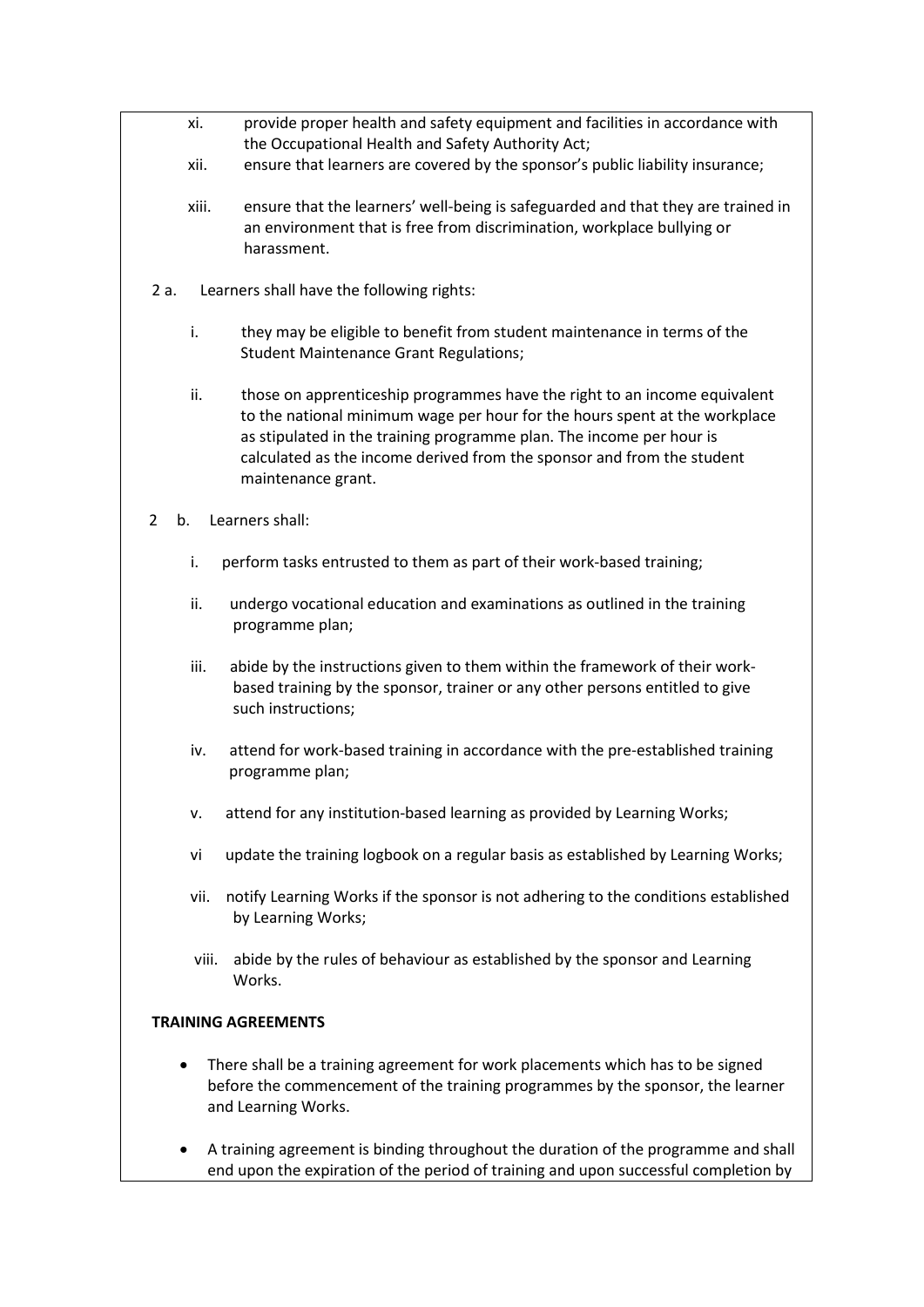- xi. provide proper health and safety equipment and facilities in accordance with the Occupational Health and Safety Authority Act;
- xii. ensure that learners are covered by the sponsor's public liability insurance;
- xiii. ensure that the learners' well-being is safeguarded and that they are trained in an environment that is free from discrimination, workplace bullying or harassment.
- 2 a. Learners shall have the following rights:
	- i. they may be eligible to benefit from student maintenance in terms of the Student Maintenance Grant Regulations;
	- ii. those on apprenticeship programmes have the right to an income equivalent to the national minimum wage per hour for the hours spent at the workplace as stipulated in the training programme plan. The income per hour is calculated as the income derived from the sponsor and from the student maintenance grant.
- 2 b. Learners shall:
	- i. perform tasks entrusted to them as part of their work-based training;
	- ii. undergo vocational education and examinations as outlined in the training programme plan;
	- iii. abide by the instructions given to them within the framework of their work based training by the sponsor, trainer or any other persons entitled to give such instructions;
	- iv. attend for work-based training in accordance with the pre-established training programme plan;
	- v. attend for any institution-based learning as provided by Learning Works;
	- vi update the training logbook on a regular basis as established by Learning Works;
	- vii. notify Learning Works if the sponsor is not adhering to the conditions established by Learning Works;
	- viii. abide by the rules of behaviour as established by the sponsor and Learning Works.

#### TRAINING AGREEMENTS

- There shall be a training agreement for work placements which has to be signed before the commencement of the training programmes by the sponsor, the learner and Learning Works.
- A training agreement is binding throughout the duration of the programme and shall end upon the expiration of the period of training and upon successful completion by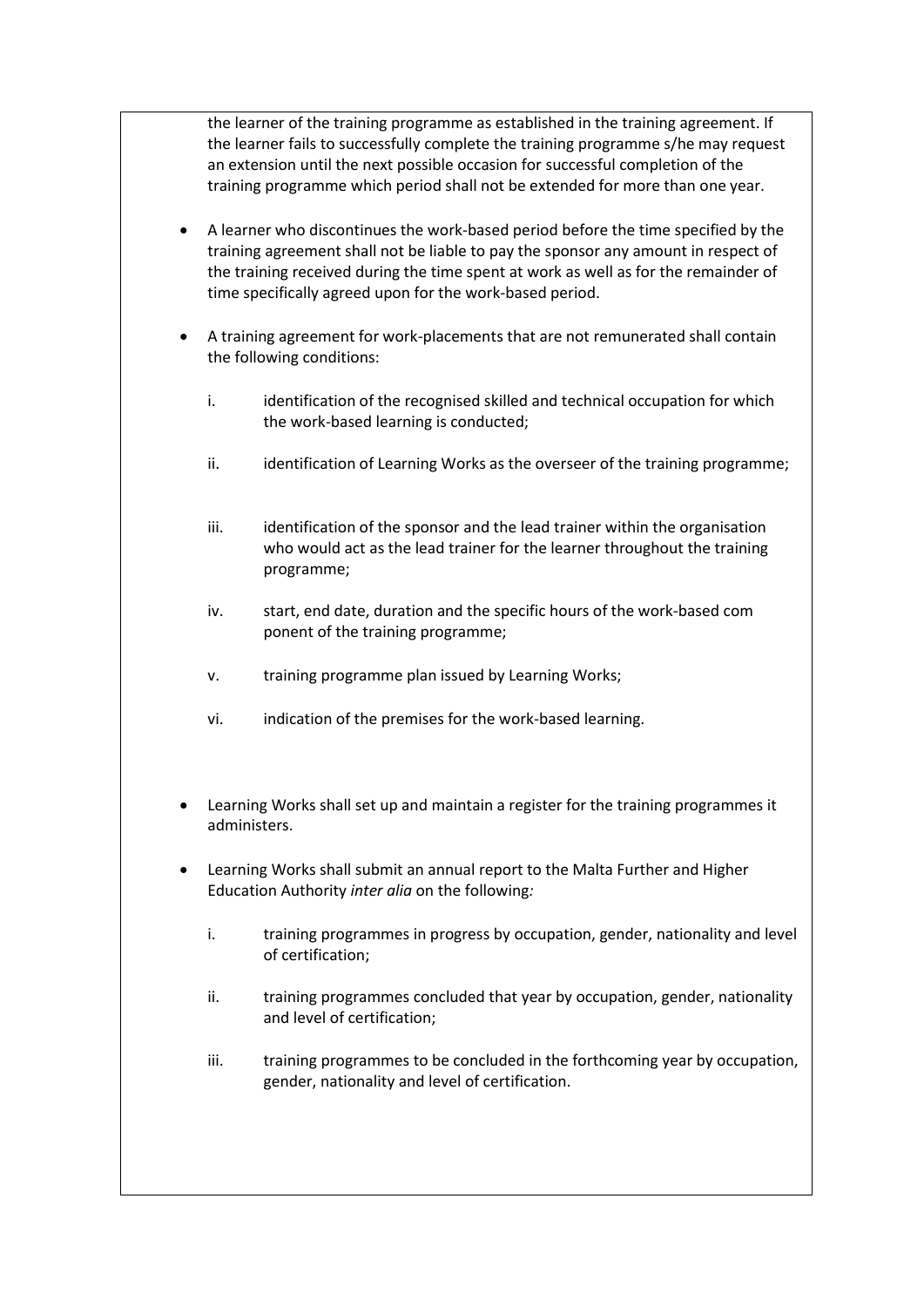the learner of the training programme as established in the training agreement. If the learner fails to successfully complete the training programme s/he may request an extension until the next possible occasion for successful completion of the training programme which period shall not be extended for more than one year.

- A learner who discontinues the work-based period before the time specified by the training agreement shall not be liable to pay the sponsor any amount in respect of the training received during the time spent at work as well as for the remainder of time specifically agreed upon for the work-based period.
- A training agreement for work-placements that are not remunerated shall contain the following conditions:
	- i. identification of the recognised skilled and technical occupation for which the work-based learning is conducted;
	- ii. identification of Learning Works as the overseer of the training programme;
	- iii. iii. identification of the sponsor and the lead trainer within the organisation who would act as the lead trainer for the learner throughout the training programme;
	- iv. start, end date, duration and the specific hours of the work-based com ponent of the training programme;
	- v. training programme plan issued by Learning Works;
	- vi. indication of the premises for the work-based learning.
- Learning Works shall set up and maintain a register for the training programmes it administers.
- Learning Works shall submit an annual report to the Malta Further and Higher Education Authority inter alia on the following:
	- i. training programmes in progress by occupation, gender, nationality and level of certification;
	- ii. training programmes concluded that year by occupation, gender, nationality and level of certification;
	- iii. training programmes to be concluded in the forthcoming year by occupation, gender, nationality and level of certification.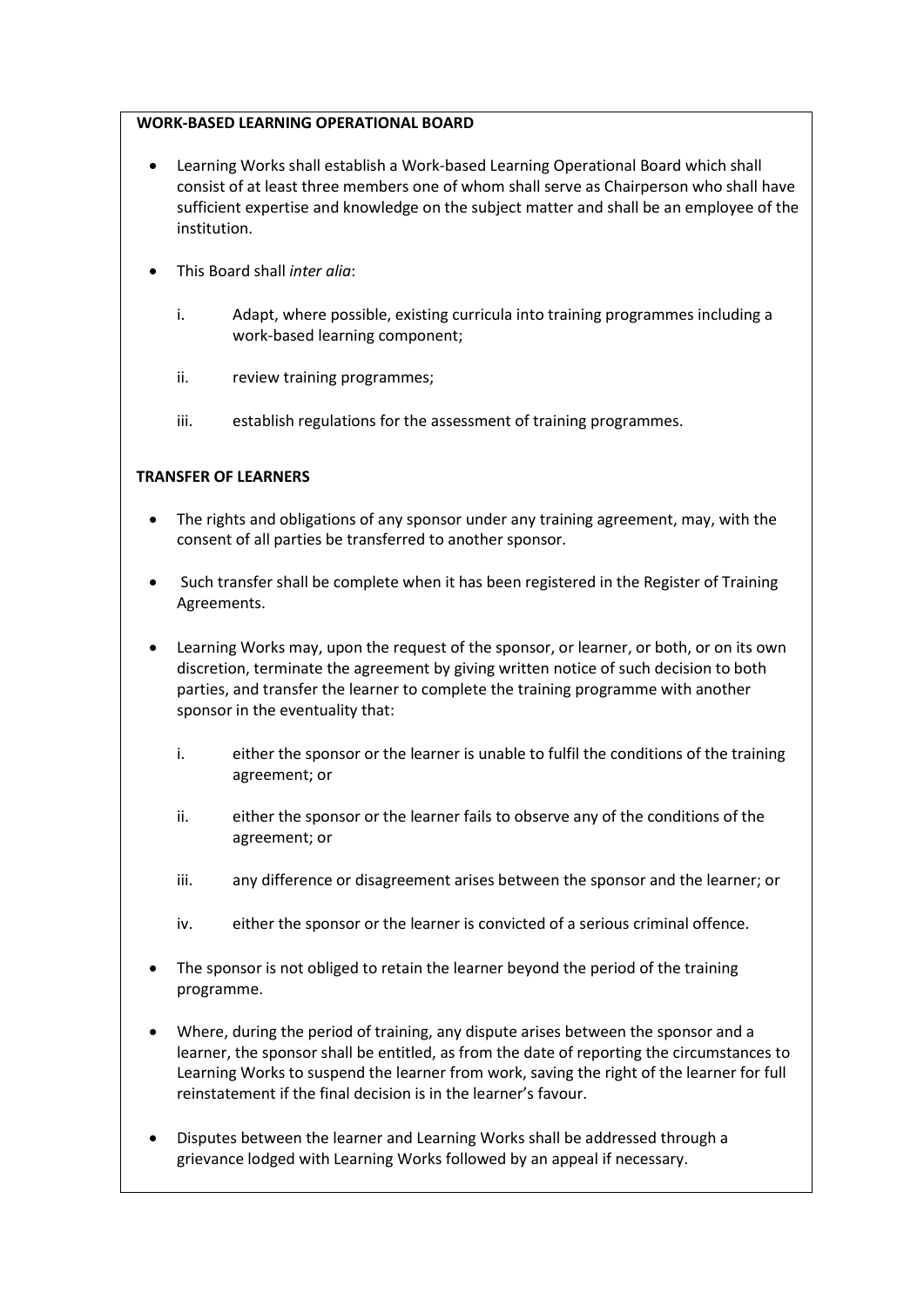# WORK-BASED LEARNING OPERATIONAL BOARD

- Learning Works shall establish a Work-based Learning Operational Board which shall consist of at least three members one of whom shall serve as Chairperson who shall have sufficient expertise and knowledge on the subject matter and shall be an employee of the institution.
- This Board shall inter alia:
	- i. Adapt, where possible, existing curricula into training programmes including a work-based learning component;
	- ii. review training programmes;
	- iii. establish regulations for the assessment of training programmes.

# TRANSFER OF LEARNERS

- The rights and obligations of any sponsor under any training agreement, may, with the consent of all parties be transferred to another sponsor.
- Such transfer shall be complete when it has been registered in the Register of Training Agreements.
- Learning Works may, upon the request of the sponsor, or learner, or both, or on its own discretion, terminate the agreement by giving written notice of such decision to both parties, and transfer the learner to complete the training programme with another sponsor in the eventuality that:
	- i. either the sponsor or the learner is unable to fulfil the conditions of the training agreement; or
	- ii. either the sponsor or the learner fails to observe any of the conditions of the agreement; or
	- iii. any difference or disagreement arises between the sponsor and the learner; or
	- iv. either the sponsor or the learner is convicted of a serious criminal offence.
- The sponsor is not obliged to retain the learner beyond the period of the training programme.
- Where, during the period of training, any dispute arises between the sponsor and a learner, the sponsor shall be entitled, as from the date of reporting the circumstances to Learning Works to suspend the learner from work, saving the right of the learner for full reinstatement if the final decision is in the learner's favour.
- Disputes between the learner and Learning Works shall be addressed through a grievance lodged with Learning Works followed by an appeal if necessary.